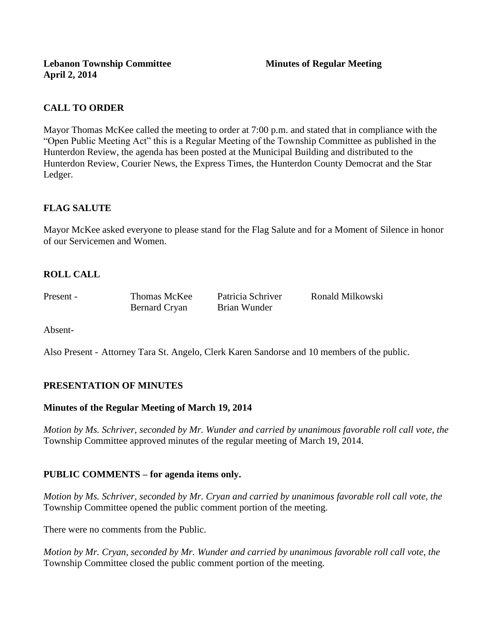# **CALL TO ORDER**

Mayor Thomas McKee called the meeting to order at 7:00 p.m. and stated that in compliance with the "Open Public Meeting Act" this is a Regular Meeting of the Township Committee as published in the Hunterdon Review, the agenda has been posted at the Municipal Building and distributed to the Hunterdon Review, Courier News, the Express Times, the Hunterdon County Democrat and the Star Ledger.

# **FLAG SALUTE**

Mayor McKee asked everyone to please stand for the Flag Salute and for a Moment of Silence in honor of our Servicemen and Women.

# **ROLL CALL**

Bernard Cryan Brian Wunder

Present - Thomas McKee Patricia Schriver Ronald Milkowski

Absent-

Also Present - Attorney Tara St. Angelo, Clerk Karen Sandorse and 10 members of the public.

# **PRESENTATION OF MINUTES**

# **Minutes of the Regular Meeting of March 19, 2014**

*Motion by Ms. Schriver, seconded by Mr. Wunder and carried by unanimous favorable roll call vote, the*  Township Committee approved minutes of the regular meeting of March 19, 2014.

# **PUBLIC COMMENTS – for agenda items only.**

*Motion by Ms. Schriver, seconded by Mr. Cryan and carried by unanimous favorable roll call vote, the* Township Committee opened the public comment portion of the meeting.

There were no comments from the Public.

*Motion by Mr. Cryan, seconded by Mr. Wunder and carried by unanimous favorable roll call vote, the* Township Committee closed the public comment portion of the meeting.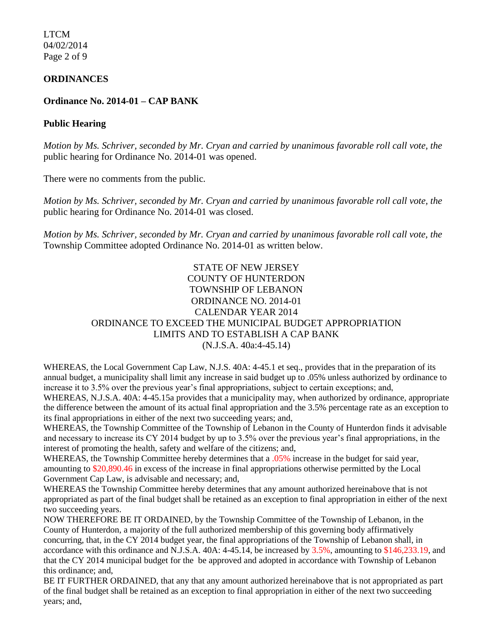LTCM 04/02/2014 Page 2 of 9

### **ORDINANCES**

### **Ordinance No. 2014-01 – CAP BANK**

#### **Public Hearing**

*Motion by Ms. Schriver, seconded by Mr. Cryan and carried by unanimous favorable roll call vote, the* public hearing for Ordinance No. 2014-01 was opened.

There were no comments from the public*.*

*Motion by Ms. Schriver, seconded by Mr. Cryan and carried by unanimous favorable roll call vote, the* public hearing for Ordinance No. 2014-01 was closed.

*Motion by Ms. Schriver, seconded by Mr. Cryan and carried by unanimous favorable roll call vote, the* Township Committee adopted Ordinance No. 2014-01 as written below.

## STATE OF NEW JERSEY COUNTY OF HUNTERDON TOWNSHIP OF LEBANON ORDINANCE NO. 2014-01 CALENDAR YEAR 2014 ORDINANCE TO EXCEED THE MUNICIPAL BUDGET APPROPRIATION LIMITS AND TO ESTABLISH A CAP BANK (N.J.S.A. 40a:4-45.14)

WHEREAS, the Local Government Cap Law, N.J.S. 40A: 4-45.1 et seq., provides that in the preparation of its annual budget, a municipality shall limit any increase in said budget up to .05% unless authorized by ordinance to increase it to 3.5% over the previous year's final appropriations, subject to certain exceptions; and,

WHEREAS, N.J.S.A. 40A: 4-45.15a provides that a municipality may, when authorized by ordinance, appropriate the difference between the amount of its actual final appropriation and the 3.5% percentage rate as an exception to its final appropriations in either of the next two succeeding years; and,

WHEREAS, the Township Committee of the Township of Lebanon in the County of Hunterdon finds it advisable and necessary to increase its CY 2014 budget by up to 3.5% over the previous year's final appropriations, in the interest of promoting the health, safety and welfare of the citizens; and,

WHEREAS, the Township Committee hereby determines that a .05% increase in the budget for said year, amounting to \$20,890.46 in excess of the increase in final appropriations otherwise permitted by the Local Government Cap Law, is advisable and necessary; and,

WHEREAS the Township Committee hereby determines that any amount authorized hereinabove that is not appropriated as part of the final budget shall be retained as an exception to final appropriation in either of the next two succeeding years.

NOW THEREFORE BE IT ORDAINED, by the Township Committee of the Township of Lebanon, in the County of Hunterdon, a majority of the full authorized membership of this governing body affirmatively concurring, that, in the CY 2014 budget year, the final appropriations of the Township of Lebanon shall, in accordance with this ordinance and N.J.S.A. 40A: 4-45.14, be increased by 3.5%, amounting to \$146,233.19, and that the CY 2014 municipal budget for the be approved and adopted in accordance with Township of Lebanon this ordinance; and,

BE IT FURTHER ORDAINED, that any that any amount authorized hereinabove that is not appropriated as part of the final budget shall be retained as an exception to final appropriation in either of the next two succeeding years; and,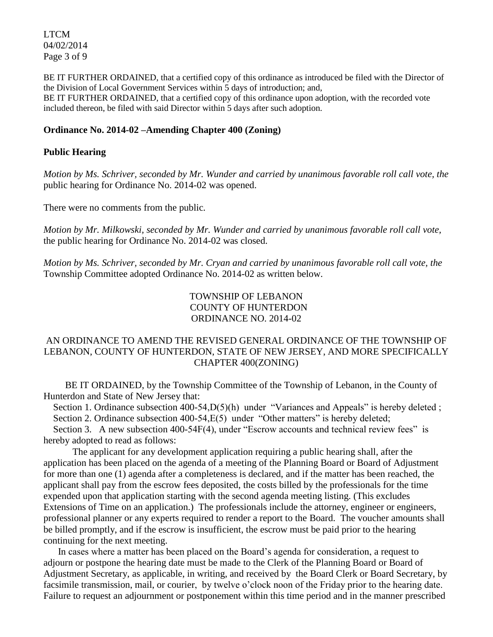LTCM 04/02/2014 Page 3 of 9

BE IT FURTHER ORDAINED, that a certified copy of this ordinance as introduced be filed with the Director of the Division of Local Government Services within 5 days of introduction; and, BE IT FURTHER ORDAINED, that a certified copy of this ordinance upon adoption, with the recorded vote included thereon, be filed with said Director within 5 days after such adoption.

### **Ordinance No. 2014-02 –Amending Chapter 400 (Zoning)**

### **Public Hearing**

*Motion by Ms. Schriver, seconded by Mr. Wunder and carried by unanimous favorable roll call vote, the* public hearing for Ordinance No. 2014-02 was opened.

There were no comments from the public*.*

*Motion by Mr. Milkowski, seconded by Mr. Wunder and carried by unanimous favorable roll call vote,* the public hearing for Ordinance No. 2014-02 was closed.

*Motion by Ms. Schriver, seconded by Mr. Cryan and carried by unanimous favorable roll call vote, the* Township Committee adopted Ordinance No. 2014-02 as written below.

> TOWNSHIP OF LEBANON COUNTY OF HUNTERDON ORDINANCE NO. 2014-02

## AN ORDINANCE TO AMEND THE REVISED GENERAL ORDINANCE OF THE TOWNSHIP OF LEBANON, COUNTY OF HUNTERDON, STATE OF NEW JERSEY, AND MORE SPECIFICALLY CHAPTER 400(ZONING)

 BE IT ORDAINED, by the Township Committee of the Township of Lebanon, in the County of Hunterdon and State of New Jersey that:

Section 1. Ordinance subsection 400-54,  $D(5)$ (h) under "Variances and Appeals" is hereby deleted; Section 2. Ordinance subsection 400-54, E(5) under "Other matters" is hereby deleted;

Section 3. A new subsection 400-54F(4), under "Escrow accounts and technical review fees" is hereby adopted to read as follows:

The applicant for any development application requiring a public hearing shall, after the application has been placed on the agenda of a meeting of the Planning Board or Board of Adjustment for more than one (1) agenda after a completeness is declared, and if the matter has been reached, the applicant shall pay from the escrow fees deposited, the costs billed by the professionals for the time expended upon that application starting with the second agenda meeting listing. (This excludes Extensions of Time on an application.) The professionals include the attorney, engineer or engineers, professional planner or any experts required to render a report to the Board. The voucher amounts shall be billed promptly, and if the escrow is insufficient, the escrow must be paid prior to the hearing continuing for the next meeting.

 In cases where a matter has been placed on the Board's agenda for consideration, a request to adjourn or postpone the hearing date must be made to the Clerk of the Planning Board or Board of Adjustment Secretary, as applicable, in writing, and received by the Board Clerk or Board Secretary, by facsimile transmission, mail, or courier, by twelve o'clock noon of the Friday prior to the hearing date. Failure to request an adjournment or postponement within this time period and in the manner prescribed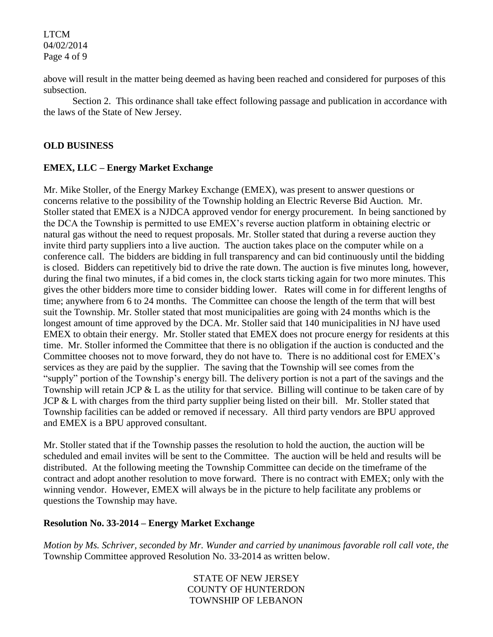LTCM 04/02/2014 Page 4 of 9

above will result in the matter being deemed as having been reached and considered for purposes of this subsection.

 Section 2. This ordinance shall take effect following passage and publication in accordance with the laws of the State of New Jersey.

# **OLD BUSINESS**

# **EMEX, LLC – Energy Market Exchange**

Mr. Mike Stoller, of the Energy Markey Exchange (EMEX), was present to answer questions or concerns relative to the possibility of the Township holding an Electric Reverse Bid Auction. Mr. Stoller stated that EMEX is a NJDCA approved vendor for energy procurement. In being sanctioned by the DCA the Township is permitted to use EMEX's reverse auction platform in obtaining electric or natural gas without the need to request proposals. Mr. Stoller stated that during a reverse auction they invite third party suppliers into a live auction. The auction takes place on the computer while on a conference call. The bidders are bidding in full transparency and can bid continuously until the bidding is closed. Bidders can repetitively bid to drive the rate down. The auction is five minutes long, however, during the final two minutes, if a bid comes in, the clock starts ticking again for two more minutes. This gives the other bidders more time to consider bidding lower. Rates will come in for different lengths of time; anywhere from 6 to 24 months. The Committee can choose the length of the term that will best suit the Township. Mr. Stoller stated that most municipalities are going with 24 months which is the longest amount of time approved by the DCA. Mr. Stoller said that 140 municipalities in NJ have used EMEX to obtain their energy. Mr. Stoller stated that EMEX does not procure energy for residents at this time. Mr. Stoller informed the Committee that there is no obligation if the auction is conducted and the Committee chooses not to move forward, they do not have to. There is no additional cost for EMEX's services as they are paid by the supplier. The saving that the Township will see comes from the "supply" portion of the Township's energy bill. The delivery portion is not a part of the savings and the Township will retain JCP & L as the utility for that service. Billing will continue to be taken care of by JCP & L with charges from the third party supplier being listed on their bill. Mr. Stoller stated that Township facilities can be added or removed if necessary. All third party vendors are BPU approved and EMEX is a BPU approved consultant.

Mr. Stoller stated that if the Township passes the resolution to hold the auction, the auction will be scheduled and email invites will be sent to the Committee. The auction will be held and results will be distributed. At the following meeting the Township Committee can decide on the timeframe of the contract and adopt another resolution to move forward. There is no contract with EMEX; only with the winning vendor. However, EMEX will always be in the picture to help facilitate any problems or questions the Township may have.

## **Resolution No. 33-2014 – Energy Market Exchange**

*Motion by Ms. Schriver, seconded by Mr. Wunder and carried by unanimous favorable roll call vote, the* Township Committee approved Resolution No. 33-2014 as written below.

> STATE OF NEW JERSEY COUNTY OF HUNTERDON TOWNSHIP OF LEBANON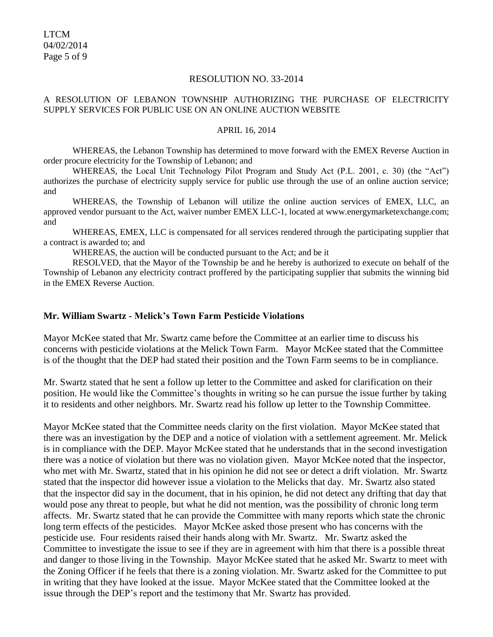#### RESOLUTION NO. 33-2014

#### A RESOLUTION OF LEBANON TOWNSHIP AUTHORIZING THE PURCHASE OF ELECTRICITY SUPPLY SERVICES FOR PUBLIC USE ON AN ONLINE AUCTION WEBSITE

#### APRIL 16, 2014

WHEREAS, the Lebanon Township has determined to move forward with the EMEX Reverse Auction in order procure electricity for the Township of Lebanon; and

WHEREAS, the Local Unit Technology Pilot Program and Study Act (P.L. 2001, c. 30) (the "Act") authorizes the purchase of electricity supply service for public use through the use of an online auction service; and

WHEREAS, the Township of Lebanon will utilize the online auction services of EMEX, LLC, an approved vendor pursuant to the Act, waiver number EMEX LLC-1, located at www.energymarketexchange.com; and

WHEREAS, EMEX, LLC is compensated for all services rendered through the participating supplier that a contract is awarded to; and

WHEREAS, the auction will be conducted pursuant to the Act; and be it

RESOLVED, that the Mayor of the Township be and he hereby is authorized to execute on behalf of the Township of Lebanon any electricity contract proffered by the participating supplier that submits the winning bid in the EMEX Reverse Auction.

## **Mr. William Swartz - Melick's Town Farm Pesticide Violations**

Mayor McKee stated that Mr. Swartz came before the Committee at an earlier time to discuss his concerns with pesticide violations at the Melick Town Farm. Mayor McKee stated that the Committee is of the thought that the DEP had stated their position and the Town Farm seems to be in compliance.

Mr. Swartz stated that he sent a follow up letter to the Committee and asked for clarification on their position. He would like the Committee's thoughts in writing so he can pursue the issue further by taking it to residents and other neighbors. Mr. Swartz read his follow up letter to the Township Committee.

Mayor McKee stated that the Committee needs clarity on the first violation. Mayor McKee stated that there was an investigation by the DEP and a notice of violation with a settlement agreement. Mr. Melick is in compliance with the DEP. Mayor McKee stated that he understands that in the second investigation there was a notice of violation but there was no violation given. Mayor McKee noted that the inspector, who met with Mr. Swartz, stated that in his opinion he did not see or detect a drift violation. Mr. Swartz stated that the inspector did however issue a violation to the Melicks that day. Mr. Swartz also stated that the inspector did say in the document, that in his opinion, he did not detect any drifting that day that would pose any threat to people, but what he did not mention, was the possibility of chronic long term affects. Mr. Swartz stated that he can provide the Committee with many reports which state the chronic long term effects of the pesticides. Mayor McKee asked those present who has concerns with the pesticide use. Four residents raised their hands along with Mr. Swartz. Mr. Swartz asked the Committee to investigate the issue to see if they are in agreement with him that there is a possible threat and danger to those living in the Township. Mayor McKee stated that he asked Mr. Swartz to meet with the Zoning Officer if he feels that there is a zoning violation. Mr. Swartz asked for the Committee to put in writing that they have looked at the issue. Mayor McKee stated that the Committee looked at the issue through the DEP's report and the testimony that Mr. Swartz has provided.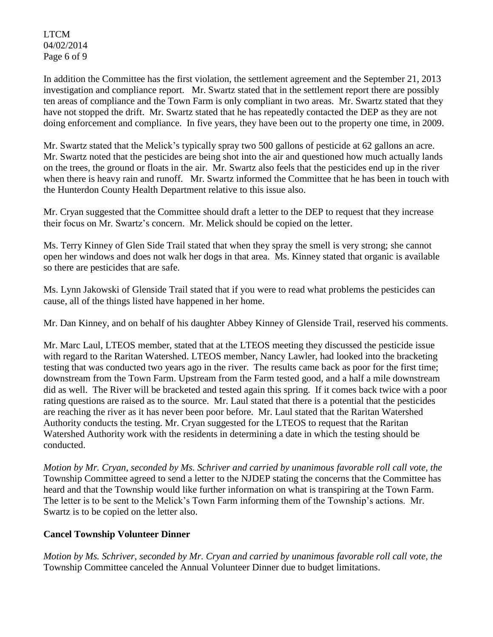LTCM 04/02/2014 Page 6 of 9

In addition the Committee has the first violation, the settlement agreement and the September 21, 2013 investigation and compliance report. Mr. Swartz stated that in the settlement report there are possibly ten areas of compliance and the Town Farm is only compliant in two areas. Mr. Swartz stated that they have not stopped the drift. Mr. Swartz stated that he has repeatedly contacted the DEP as they are not doing enforcement and compliance. In five years, they have been out to the property one time, in 2009.

Mr. Swartz stated that the Melick's typically spray two 500 gallons of pesticide at 62 gallons an acre. Mr. Swartz noted that the pesticides are being shot into the air and questioned how much actually lands on the trees, the ground or floats in the air. Mr. Swartz also feels that the pesticides end up in the river when there is heavy rain and runoff. Mr. Swartz informed the Committee that he has been in touch with the Hunterdon County Health Department relative to this issue also.

Mr. Cryan suggested that the Committee should draft a letter to the DEP to request that they increase their focus on Mr. Swartz's concern. Mr. Melick should be copied on the letter.

Ms. Terry Kinney of Glen Side Trail stated that when they spray the smell is very strong; she cannot open her windows and does not walk her dogs in that area. Ms. Kinney stated that organic is available so there are pesticides that are safe.

Ms. Lynn Jakowski of Glenside Trail stated that if you were to read what problems the pesticides can cause, all of the things listed have happened in her home.

Mr. Dan Kinney, and on behalf of his daughter Abbey Kinney of Glenside Trail, reserved his comments.

Mr. Marc Laul, LTEOS member, stated that at the LTEOS meeting they discussed the pesticide issue with regard to the Raritan Watershed. LTEOS member, Nancy Lawler, had looked into the bracketing testing that was conducted two years ago in the river. The results came back as poor for the first time; downstream from the Town Farm. Upstream from the Farm tested good, and a half a mile downstream did as well. The River will be bracketed and tested again this spring. If it comes back twice with a poor rating questions are raised as to the source. Mr. Laul stated that there is a potential that the pesticides are reaching the river as it has never been poor before. Mr. Laul stated that the Raritan Watershed Authority conducts the testing. Mr. Cryan suggested for the LTEOS to request that the Raritan Watershed Authority work with the residents in determining a date in which the testing should be conducted.

*Motion by Mr. Cryan, seconded by Ms. Schriver and carried by unanimous favorable roll call vote, the*  Township Committee agreed to send a letter to the NJDEP stating the concerns that the Committee has heard and that the Township would like further information on what is transpiring at the Town Farm. The letter is to be sent to the Melick's Town Farm informing them of the Township's actions. Mr. Swartz is to be copied on the letter also.

# **Cancel Township Volunteer Dinner**

*Motion by Ms. Schriver, seconded by Mr. Cryan and carried by unanimous favorable roll call vote, the*  Township Committee canceled the Annual Volunteer Dinner due to budget limitations.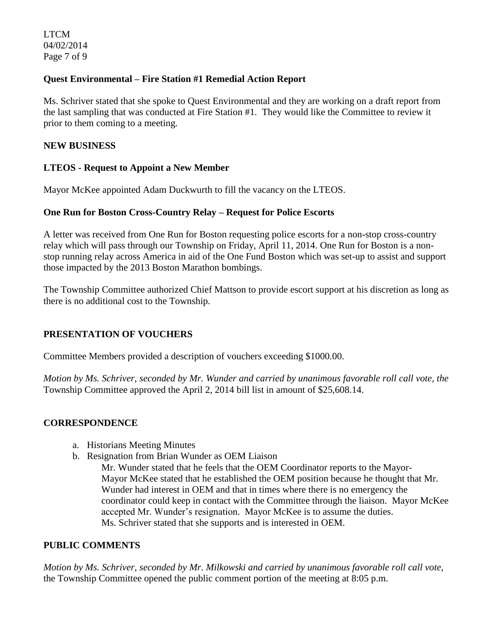# **Quest Environmental – Fire Station #1 Remedial Action Report**

Ms. Schriver stated that she spoke to Quest Environmental and they are working on a draft report from the last sampling that was conducted at Fire Station #1. They would like the Committee to review it prior to them coming to a meeting.

## **NEW BUSINESS**

## **LTEOS - Request to Appoint a New Member**

Mayor McKee appointed Adam Duckwurth to fill the vacancy on the LTEOS.

## **One Run for Boston Cross-Country Relay – Request for Police Escorts**

A letter was received from One Run for Boston requesting police escorts for a non-stop cross-country relay which will pass through our Township on Friday, April 11, 2014. One Run for Boston is a nonstop running relay across America in aid of the [One Fund Boston](http://www.onerunforboston.org/index.asp) which was set-up to assist and support those impacted by the 2013 Boston Marathon bombings.

The Township Committee authorized Chief Mattson to provide escort support at his discretion as long as there is no additional cost to the Township.

# **PRESENTATION OF VOUCHERS**

Committee Members provided a description of vouchers exceeding \$1000.00.

*Motion by Ms. Schriver, seconded by Mr. Wunder and carried by unanimous favorable roll call vote, the* Township Committee approved the April 2, 2014 bill list in amount of \$25,608.14.

## **CORRESPONDENCE**

- a. Historians Meeting Minutes
- b. Resignation from Brian Wunder as OEM Liaison
	- Mr. Wunder stated that he feels that the OEM Coordinator reports to the Mayor-Mayor McKee stated that he established the OEM position because he thought that Mr. Wunder had interest in OEM and that in times where there is no emergency the coordinator could keep in contact with the Committee through the liaison. Mayor McKee accepted Mr. Wunder's resignation. Mayor McKee is to assume the duties. Ms. Schriver stated that she supports and is interested in OEM.

## **PUBLIC COMMENTS**

*Motion by Ms. Schriver, seconded by Mr. Milkowski and carried by unanimous favorable roll call vote,* the Township Committee opened the public comment portion of the meeting at 8:05 p.m.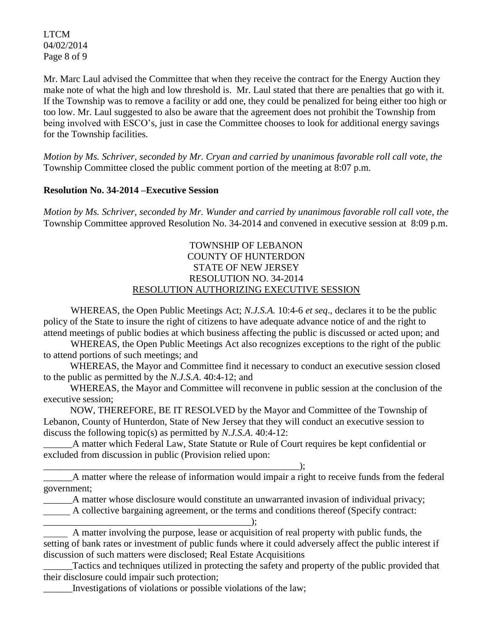LTCM 04/02/2014 Page 8 of 9

Mr. Marc Laul advised the Committee that when they receive the contract for the Energy Auction they make note of what the high and low threshold is. Mr. Laul stated that there are penalties that go with it. If the Township was to remove a facility or add one, they could be penalized for being either too high or too low. Mr. Laul suggested to also be aware that the agreement does not prohibit the Township from being involved with ESCO's, just in case the Committee chooses to look for additional energy savings for the Township facilities.

*Motion by Ms. Schriver, seconded by Mr. Cryan and carried by unanimous favorable roll call vote, the* Township Committee closed the public comment portion of the meeting at 8:07 p.m.

## **Resolution No. 34-2014 –Executive Session**

*Motion by Ms. Schriver, seconded by Mr. Wunder and carried by unanimous favorable roll call vote, the* Township Committee approved Resolution No. 34-2014 and convened in executive session at 8:09 p.m.

# TOWNSHIP OF LEBANON COUNTY OF HUNTERDON STATE OF NEW JERSEY RESOLUTION NO. 34-2014 RESOLUTION AUTHORIZING EXECUTIVE SESSION

WHEREAS, the Open Public Meetings Act; *N.J.S.A.* 10:4-6 *et seq*., declares it to be the public policy of the State to insure the right of citizens to have adequate advance notice of and the right to attend meetings of public bodies at which business affecting the public is discussed or acted upon; and

WHEREAS, the Open Public Meetings Act also recognizes exceptions to the right of the public to attend portions of such meetings; and

 WHEREAS, the Mayor and Committee find it necessary to conduct an executive session closed to the public as permitted by the *N.J.S.A*. 40:4-12; and

 WHEREAS, the Mayor and Committee will reconvene in public session at the conclusion of the executive session;

 NOW, THEREFORE, BE IT RESOLVED by the Mayor and Committee of the Township of Lebanon, County of Hunterdon, State of New Jersey that they will conduct an executive session to discuss the following topic(s) as permitted by *N.J.S.A*. 40:4-12:

A matter which Federal Law, State Statute or Rule of Court requires be kept confidential or excluded from discussion in public (Provision relied upon:

\_\_\_\_\_\_\_\_\_\_\_\_\_\_\_\_\_\_\_\_\_\_\_\_\_\_\_\_\_\_\_\_\_\_\_\_\_\_\_\_\_\_\_\_\_\_\_\_\_\_\_\_\_); \_\_\_\_\_\_A matter where the release of information would impair a right to receive funds from the federal government;

\_\_\_\_\_\_A matter whose disclosure would constitute an unwarranted invasion of individual privacy;

A collective bargaining agreement, or the terms and conditions thereof (Specify contract:

 A matter involving the purpose, lease or acquisition of real property with public funds, the setting of bank rates or investment of public funds where it could adversely affect the public interest if discussion of such matters were disclosed; Real Estate Acquisitions

Tactics and techniques utilized in protecting the safety and property of the public provided that their disclosure could impair such protection;

\_\_\_\_\_\_Investigations of violations or possible violations of the law;

\_\_\_\_\_\_\_\_\_\_\_\_\_\_\_\_\_\_\_\_\_\_\_\_\_\_\_\_\_\_\_\_\_\_\_\_\_\_\_\_\_\_\_);